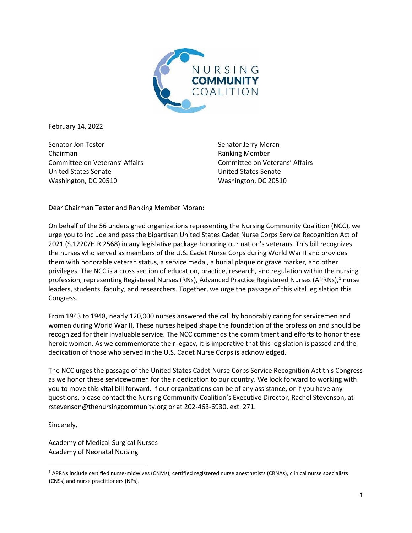

February 14, 2022

Senator Jon Tester Chairman Committee on Veterans' Affairs United States Senate Washington, DC 20510

Senator Jerry Moran Ranking Member Committee on Veterans' Affairs United States Senate Washington, DC 20510

Dear Chairman Tester and Ranking Member Moran:

On behalf of the 56 undersigned organizations representing the Nursing Community Coalition (NCC), we urge you to include and pass the bipartisan United States Cadet Nurse Corps Service Recognition Act of 2021 (S.1220/H.R.2568) in any legislative package honoring our nation's veterans. This bill recognizes the nurses who served as members of the U.S. Cadet Nurse Corps during World War II and provides them with honorable veteran status, a service medal, a burial plaque or grave marker, and other privileges. The NCC is a cross section of education, practice, research, and regulation within the nursing profession, representing Registered Nurses (RNs), Advanced Practice Registered Nurses (APRNs),<sup>1</sup> nurse leaders, students, faculty, and researchers. Together, we urge the passage of this vital legislation this Congress.

From 1943 to 1948, nearly 120,000 nurses answered the call by honorably caring for servicemen and women during World War II. These nurses helped shape the foundation of the profession and should be recognized for their invaluable service. The NCC commends the commitment and efforts to honor these heroic women. As we commemorate their legacy, it is imperative that this legislation is passed and the dedication of those who served in the U.S. Cadet Nurse Corps is acknowledged.

The NCC urges the passage of the United States Cadet Nurse Corps Service Recognition Act this Congress as we honor these servicewomen for their dedication to our country. We look forward to working with you to move this vital bill forward. If our organizations can be of any assistance, or if you have any questions, please contact the Nursing Community Coalition's Executive Director, Rachel Stevenson, at rstevenson@thenursingcommunity.org or at 202-463-6930, ext. 271.

Sincerely,

Academy of Medical-Surgical Nurses Academy of Neonatal Nursing

 $1$  APRNs include certified nurse-midwives (CNMs), certified registered nurse anesthetists (CRNAs), clinical nurse specialists (CNSs) and nurse practitioners (NPs).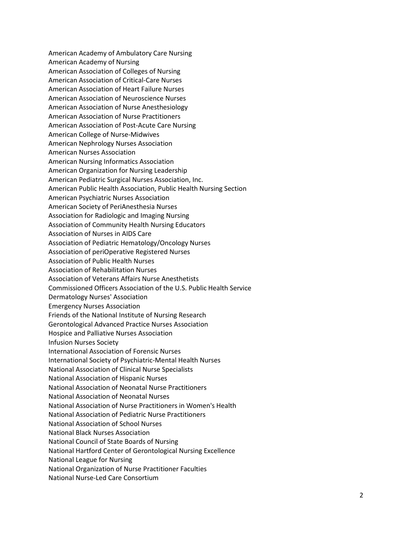American Academy of Ambulatory Care Nursing American Academy of Nursing American Association of Colleges of Nursing American Association of Critical-Care Nurses American Association of Heart Failure Nurses American Association of Neuroscience Nurses American Association of Nurse Anesthesiology American Association of Nurse Practitioners American Association of Post-Acute Care Nursing American College of Nurse-Midwives American Nephrology Nurses Association American Nurses Association American Nursing Informatics Association American Organization for Nursing Leadership American Pediatric Surgical Nurses Association, Inc. American Public Health Association, Public Health Nursing Section American Psychiatric Nurses Association American Society of PeriAnesthesia Nurses Association for Radiologic and Imaging Nursing Association of Community Health Nursing Educators Association of Nurses in AIDS Care Association of Pediatric Hematology/Oncology Nurses Association of periOperative Registered Nurses Association of Public Health Nurses Association of Rehabilitation Nurses Association of Veterans Affairs Nurse Anesthetists Commissioned Officers Association of the U.S. Public Health Service Dermatology Nurses' Association Emergency Nurses Association Friends of the National Institute of Nursing Research Gerontological Advanced Practice Nurses Association Hospice and Palliative Nurses Association Infusion Nurses Society International Association of Forensic Nurses International Society of Psychiatric-Mental Health Nurses National Association of Clinical Nurse Specialists National Association of Hispanic Nurses National Association of Neonatal Nurse Practitioners National Association of Neonatal Nurses National Association of Nurse Practitioners in Women's Health National Association of Pediatric Nurse Practitioners National Association of School Nurses National Black Nurses Association National Council of State Boards of Nursing National Hartford Center of Gerontological Nursing Excellence National League for Nursing National Organization of Nurse Practitioner Faculties National Nurse-Led Care Consortium